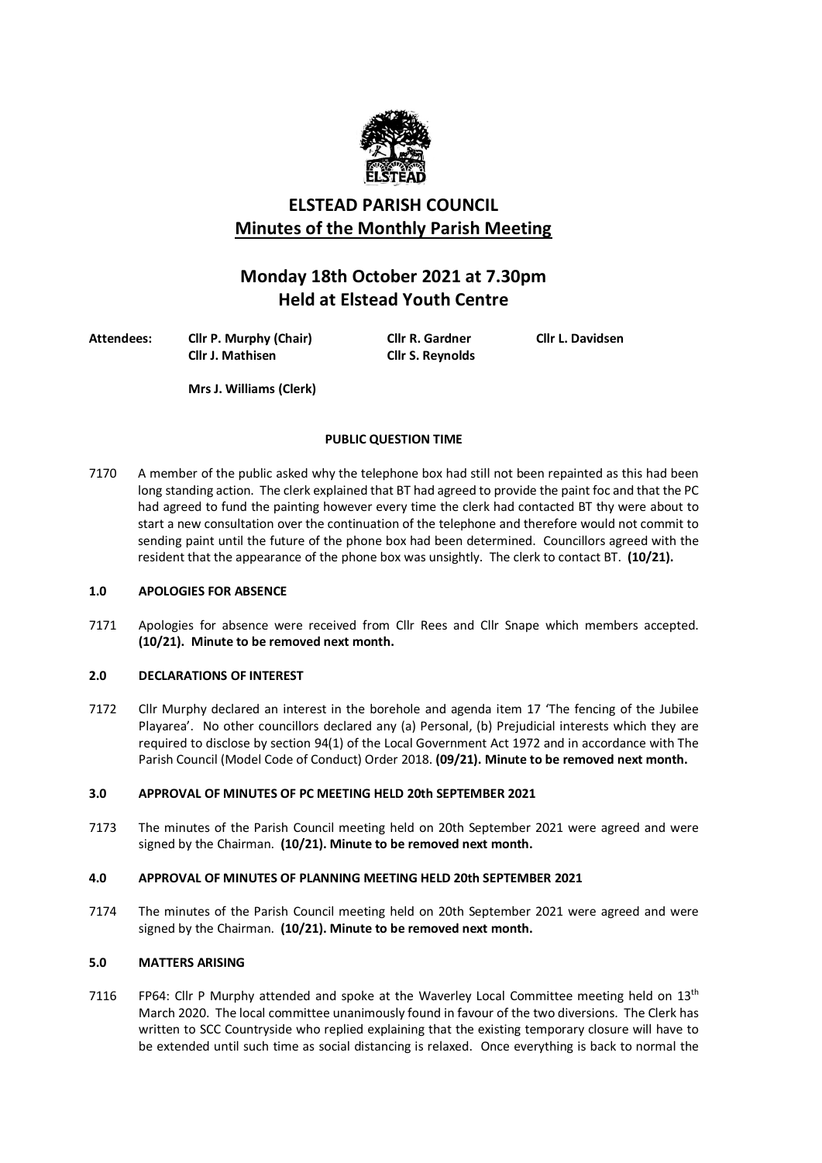

# **ELSTEAD PARISH COUNCIL Minutes of the Monthly Parish Meeting**

# **Monday 18th October 2021 at 7.30pm Held at Elstead Youth Centre**

**Attendees: Cllr P. Murphy (Chair) Cllr R. Gardner Cllr L. Davidsen**

**Cllr J. Mathisen Cllr S. Reynolds**

**Mrs J. Williams (Clerk)**

# **PUBLIC QUESTION TIME**

7170 A member of the public asked why the telephone box had still not been repainted as this had been long standing action. The clerk explained that BT had agreed to provide the paint foc and that the PC had agreed to fund the painting however every time the clerk had contacted BT thy were about to start a new consultation over the continuation of the telephone and therefore would not commit to sending paint until the future of the phone box had been determined. Councillors agreed with the resident that the appearance of the phone box was unsightly. The clerk to contact BT. **(10/21).** 

# **1.0 APOLOGIES FOR ABSENCE**

7171 Apologies for absence were received from Cllr Rees and Cllr Snape which members accepted. **(10/21). Minute to be removed next month.**

# **2.0 DECLARATIONS OF INTEREST**

7172 Cllr Murphy declared an interest in the borehole and agenda item 17 'The fencing of the Jubilee Playarea'. No other councillors declared any (a) Personal, (b) Prejudicial interests which they are required to disclose by section 94(1) of the Local Government Act 1972 and in accordance with The Parish Council (Model Code of Conduct) Order 2018. **(09/21). Minute to be removed next month.**

# **3.0 APPROVAL OF MINUTES OF PC MEETING HELD 20th SEPTEMBER 2021**

7173 The minutes of the Parish Council meeting held on 20th September 2021 were agreed and were signed by the Chairman. **(10/21). Minute to be removed next month.**

# **4.0 APPROVAL OF MINUTES OF PLANNING MEETING HELD 20th SEPTEMBER 2021**

7174 The minutes of the Parish Council meeting held on 20th September 2021 were agreed and were signed by the Chairman. **(10/21). Minute to be removed next month.**

# **5.0 MATTERS ARISING**

7116 FP64: Cllr P Murphy attended and spoke at the Waverley Local Committee meeting held on  $13<sup>th</sup>$ March 2020. The local committee unanimously found in favour of the two diversions. The Clerk has written to SCC Countryside who replied explaining that the existing temporary closure will have to be extended until such time as social distancing is relaxed. Once everything is back to normal the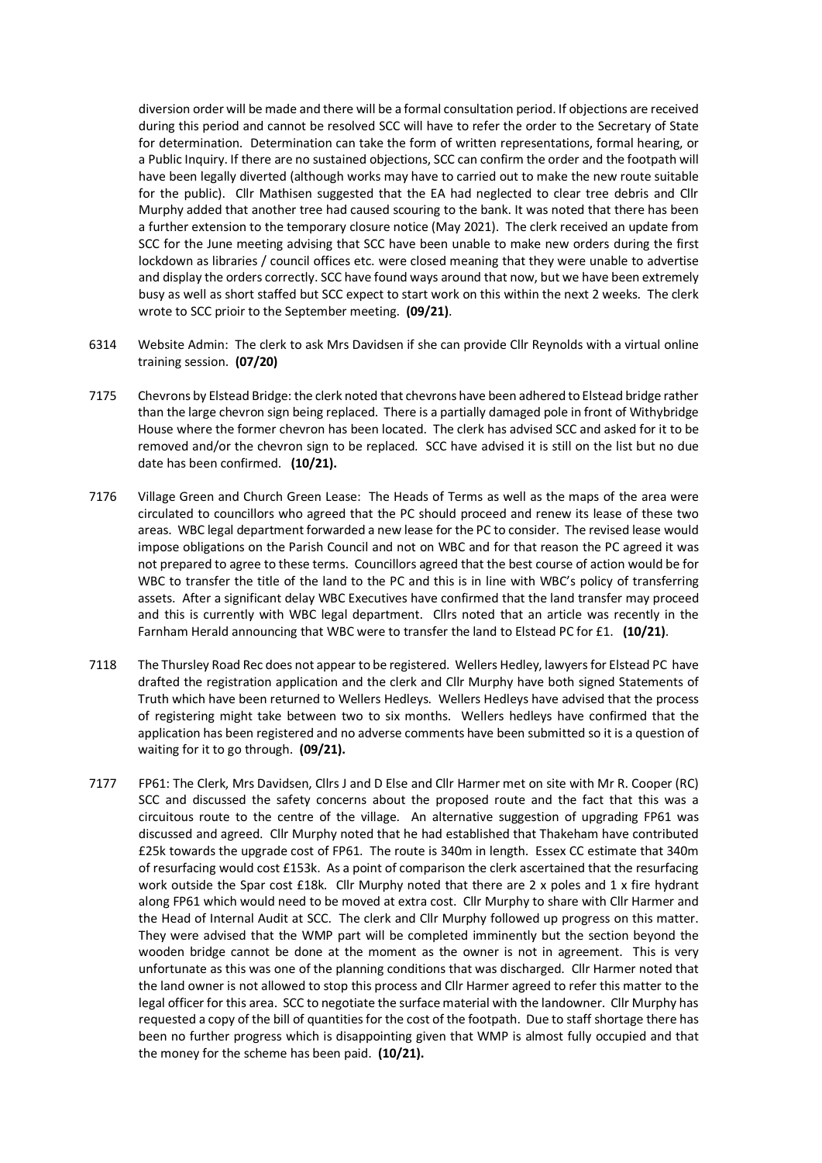diversion order will be made and there will be a formal consultation period. If objections are received during this period and cannot be resolved SCC will have to refer the order to the Secretary of State for determination. Determination can take the form of written representations, formal hearing, or a Public Inquiry. If there are no sustained objections, SCC can confirm the order and the footpath will have been legally diverted (although works may have to carried out to make the new route suitable for the public). Cllr Mathisen suggested that the EA had neglected to clear tree debris and Cllr Murphy added that another tree had caused scouring to the bank. It was noted that there has been a further extension to the temporary closure notice (May 2021). The clerk received an update from SCC for the June meeting advising that SCC have been unable to make new orders during the first lockdown as libraries / council offices etc. were closed meaning that they were unable to advertise and display the orders correctly. SCC have found ways around that now, but we have been extremely busy as well as short staffed but SCC expect to start work on this within the next 2 weeks. The clerk wrote to SCC prioir to the September meeting. **(09/21)**.

- 6314 Website Admin: The clerk to ask Mrs Davidsen if she can provide Cllr Reynolds with a virtual online training session. **(07/20)**
- 7175 Chevrons by Elstead Bridge: the clerk noted that chevrons have been adhered to Elstead bridge rather than the large chevron sign being replaced. There is a partially damaged pole in front of Withybridge House where the former chevron has been located. The clerk has advised SCC and asked for it to be removed and/or the chevron sign to be replaced. SCC have advised it is still on the list but no due date has been confirmed. **(10/21).**
- 7176 Village Green and Church Green Lease: The Heads of Terms as well as the maps of the area were circulated to councillors who agreed that the PC should proceed and renew its lease of these two areas. WBC legal department forwarded a new lease for the PC to consider. The revised lease would impose obligations on the Parish Council and not on WBC and for that reason the PC agreed it was not prepared to agree to these terms. Councillors agreed that the best course of action would be for WBC to transfer the title of the land to the PC and this is in line with WBC's policy of transferring assets. After a significant delay WBC Executives have confirmed that the land transfer may proceed and this is currently with WBC legal department. Cllrs noted that an article was recently in the Farnham Herald announcing that WBC were to transfer the land to Elstead PC for £1. **(10/21)**.
- 7118 The Thursley Road Rec does not appear to be registered. Wellers Hedley, lawyers for Elstead PC have drafted the registration application and the clerk and Cllr Murphy have both signed Statements of Truth which have been returned to Wellers Hedleys. Wellers Hedleys have advised that the process of registering might take between two to six months. Wellers hedleys have confirmed that the application has been registered and no adverse comments have been submitted so it is a question of waiting for it to go through. **(09/21).**
- 7177 FP61: The Clerk, Mrs Davidsen, Cllrs J and D Else and Cllr Harmer met on site with Mr R. Cooper (RC) SCC and discussed the safety concerns about the proposed route and the fact that this was a circuitous route to the centre of the village. An alternative suggestion of upgrading FP61 was discussed and agreed. Cllr Murphy noted that he had established that Thakeham have contributed £25k towards the upgrade cost of FP61. The route is 340m in length. Essex CC estimate that 340m of resurfacing would cost £153k. As a point of comparison the clerk ascertained that the resurfacing work outside the Spar cost £18k. Cllr Murphy noted that there are 2 x poles and 1 x fire hydrant along FP61 which would need to be moved at extra cost. Cllr Murphy to share with Cllr Harmer and the Head of Internal Audit at SCC. The clerk and Cllr Murphy followed up progress on this matter. They were advised that the WMP part will be completed imminently but the section beyond the wooden bridge cannot be done at the moment as the owner is not in agreement. This is very unfortunate as this was one of the planning conditions that was discharged. Cllr Harmer noted that the land owner is not allowed to stop this process and Cllr Harmer agreed to refer this matter to the legal officer for this area. SCC to negotiate the surface material with the landowner. Cllr Murphy has requested a copy of the bill of quantities for the cost of the footpath. Due to staff shortage there has been no further progress which is disappointing given that WMP is almost fully occupied and that the money for the scheme has been paid. **(10/21).**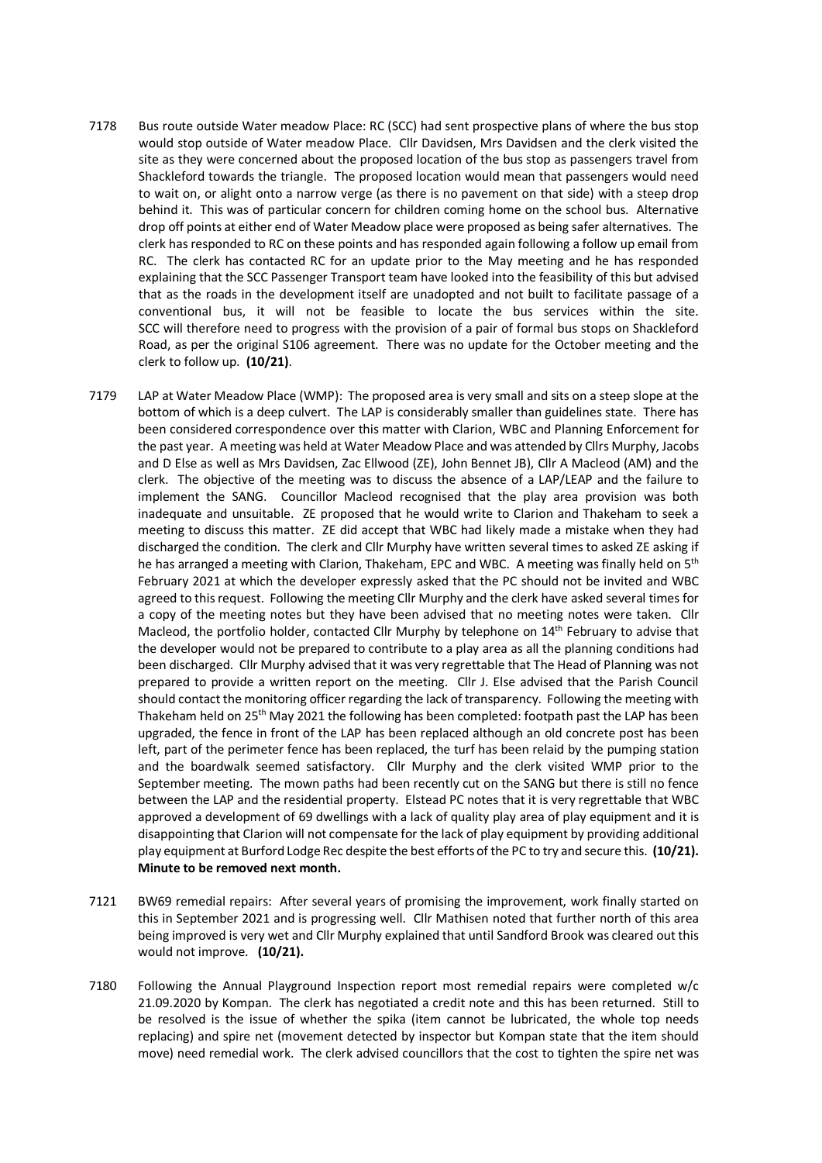- 7178 Bus route outside Water meadow Place: RC (SCC) had sent prospective plans of where the bus stop would stop outside of Water meadow Place. Cllr Davidsen, Mrs Davidsen and the clerk visited the site as they were concerned about the proposed location of the bus stop as passengers travel from Shackleford towards the triangle. The proposed location would mean that passengers would need to wait on, or alight onto a narrow verge (as there is no pavement on that side) with a steep drop behind it. This was of particular concern for children coming home on the school bus. Alternative drop off points at either end of Water Meadow place were proposed as being safer alternatives. The clerk has responded to RC on these points and has responded again following a follow up email from RC. The clerk has contacted RC for an update prior to the May meeting and he has responded explaining that the SCC Passenger Transport team have looked into the feasibility of this but advised that as the roads in the development itself are unadopted and not built to facilitate passage of a conventional bus, it will not be feasible to locate the bus services within the site. SCC will therefore need to progress with the provision of a pair of formal bus stops on Shackleford Road, as per the original S106 agreement. There was no update for the October meeting and the clerk to follow up. **(10/21)**.
- 7179 LAP at Water Meadow Place (WMP): The proposed area is very small and sits on a steep slope at the bottom of which is a deep culvert. The LAP is considerably smaller than guidelines state. There has been considered correspondence over this matter with Clarion, WBC and Planning Enforcement for the past year. A meeting was held at Water Meadow Place and was attended by Cllrs Murphy, Jacobs and D Else as well as Mrs Davidsen, Zac Ellwood (ZE), John Bennet JB), Cllr A Macleod (AM) and the clerk. The objective of the meeting was to discuss the absence of a LAP/LEAP and the failure to implement the SANG. Councillor Macleod recognised that the play area provision was both inadequate and unsuitable. ZE proposed that he would write to Clarion and Thakeham to seek a meeting to discuss this matter. ZE did accept that WBC had likely made a mistake when they had discharged the condition. The clerk and Cllr Murphy have written several times to asked ZE asking if he has arranged a meeting with Clarion, Thakeham, EPC and WBC. A meeting was finally held on 5<sup>th</sup> February 2021 at which the developer expressly asked that the PC should not be invited and WBC agreed to this request. Following the meeting Cllr Murphy and the clerk have asked several times for a copy of the meeting notes but they have been advised that no meeting notes were taken. Cllr Macleod, the portfolio holder, contacted Cllr Murphy by telephone on 14th February to advise that the developer would not be prepared to contribute to a play area as all the planning conditions had been discharged. Cllr Murphy advised that it was very regrettable that The Head of Planning was not prepared to provide a written report on the meeting. Cllr J. Else advised that the Parish Council should contact the monitoring officer regarding the lack of transparency. Following the meeting with Thakeham held on 25<sup>th</sup> May 2021 the following has been completed: footpath past the LAP has been upgraded, the fence in front of the LAP has been replaced although an old concrete post has been left, part of the perimeter fence has been replaced, the turf has been relaid by the pumping station and the boardwalk seemed satisfactory. Cllr Murphy and the clerk visited WMP prior to the September meeting. The mown paths had been recently cut on the SANG but there is still no fence between the LAP and the residential property. Elstead PC notes that it is very regrettable that WBC approved a development of 69 dwellings with a lack of quality play area of play equipment and it is disappointing that Clarion will not compensate for the lack of play equipment by providing additional play equipment at Burford Lodge Rec despite the best efforts of the PC to try and secure this. **(10/21). Minute to be removed next month.**
- 7121 BW69 remedial repairs: After several years of promising the improvement, work finally started on this in September 2021 and is progressing well. Cllr Mathisen noted that further north of this area being improved is very wet and Cllr Murphy explained that until Sandford Brook was cleared out this would not improve. **(10/21).**
- 7180 Following the Annual Playground Inspection report most remedial repairs were completed w/c 21.09.2020 by Kompan. The clerk has negotiated a credit note and this has been returned. Still to be resolved is the issue of whether the spika (item cannot be lubricated, the whole top needs replacing) and spire net (movement detected by inspector but Kompan state that the item should move) need remedial work. The clerk advised councillors that the cost to tighten the spire net was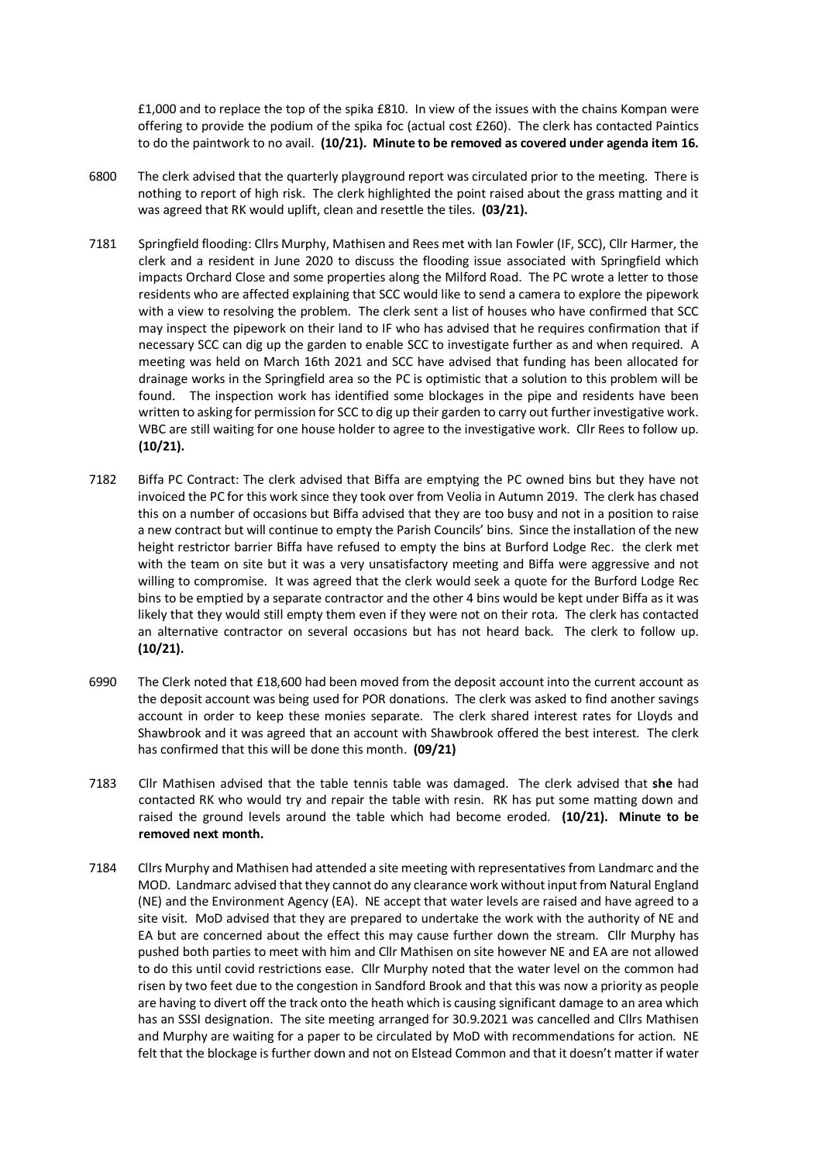£1,000 and to replace the top of the spika £810. In view of the issues with the chains Kompan were offering to provide the podium of the spika foc (actual cost £260). The clerk has contacted Paintics to do the paintwork to no avail. **(10/21). Minute to be removed as covered under agenda item 16.**

- 6800 The clerk advised that the quarterly playground report was circulated prior to the meeting. There is nothing to report of high risk. The clerk highlighted the point raised about the grass matting and it was agreed that RK would uplift, clean and resettle the tiles. **(03/21).**
- 7181 Springfield flooding: Cllrs Murphy, Mathisen and Rees met with Ian Fowler (IF, SCC), Cllr Harmer, the clerk and a resident in June 2020 to discuss the flooding issue associated with Springfield which impacts Orchard Close and some properties along the Milford Road. The PC wrote a letter to those residents who are affected explaining that SCC would like to send a camera to explore the pipework with a view to resolving the problem. The clerk sent a list of houses who have confirmed that SCC may inspect the pipework on their land to IF who has advised that he requires confirmation that if necessary SCC can dig up the garden to enable SCC to investigate further as and when required. A meeting was held on March 16th 2021 and SCC have advised that funding has been allocated for drainage works in the Springfield area so the PC is optimistic that a solution to this problem will be found. The inspection work has identified some blockages in the pipe and residents have been written to asking for permission for SCC to dig up their garden to carry out further investigative work. WBC are still waiting for one house holder to agree to the investigative work. Cllr Rees to follow up. **(10/21).**
- 7182 Biffa PC Contract: The clerk advised that Biffa are emptying the PC owned bins but they have not invoiced the PC for this work since they took over from Veolia in Autumn 2019. The clerk has chased this on a number of occasions but Biffa advised that they are too busy and not in a position to raise a new contract but will continue to empty the Parish Councils' bins. Since the installation of the new height restrictor barrier Biffa have refused to empty the bins at Burford Lodge Rec. the clerk met with the team on site but it was a very unsatisfactory meeting and Biffa were aggressive and not willing to compromise. It was agreed that the clerk would seek a quote for the Burford Lodge Rec bins to be emptied by a separate contractor and the other 4 bins would be kept under Biffa as it was likely that they would still empty them even if they were not on their rota. The clerk has contacted an alternative contractor on several occasions but has not heard back. The clerk to follow up. **(10/21).**
- 6990 The Clerk noted that £18,600 had been moved from the deposit account into the current account as the deposit account was being used for POR donations. The clerk was asked to find another savings account in order to keep these monies separate. The clerk shared interest rates for Lloyds and Shawbrook and it was agreed that an account with Shawbrook offered the best interest. The clerk has confirmed that this will be done this month. **(09/21)**
- 7183 Cllr Mathisen advised that the table tennis table was damaged. The clerk advised that **she** had contacted RK who would try and repair the table with resin. RK has put some matting down and raised the ground levels around the table which had become eroded. **(10/21). Minute to be removed next month.**
- 7184 Cllrs Murphy and Mathisen had attended a site meeting with representatives from Landmarc and the MOD. Landmarc advised that they cannot do any clearance work without input from Natural England (NE) and the Environment Agency (EA). NE accept that water levels are raised and have agreed to a site visit. MoD advised that they are prepared to undertake the work with the authority of NE and EA but are concerned about the effect this may cause further down the stream. Cllr Murphy has pushed both parties to meet with him and Cllr Mathisen on site however NE and EA are not allowed to do this until covid restrictions ease. Cllr Murphy noted that the water level on the common had risen by two feet due to the congestion in Sandford Brook and that this was now a priority as people are having to divert off the track onto the heath which is causing significant damage to an area which has an SSSI designation. The site meeting arranged for 30.9.2021 was cancelled and Cllrs Mathisen and Murphy are waiting for a paper to be circulated by MoD with recommendations for action. NE felt that the blockage is further down and not on Elstead Common and that it doesn't matter if water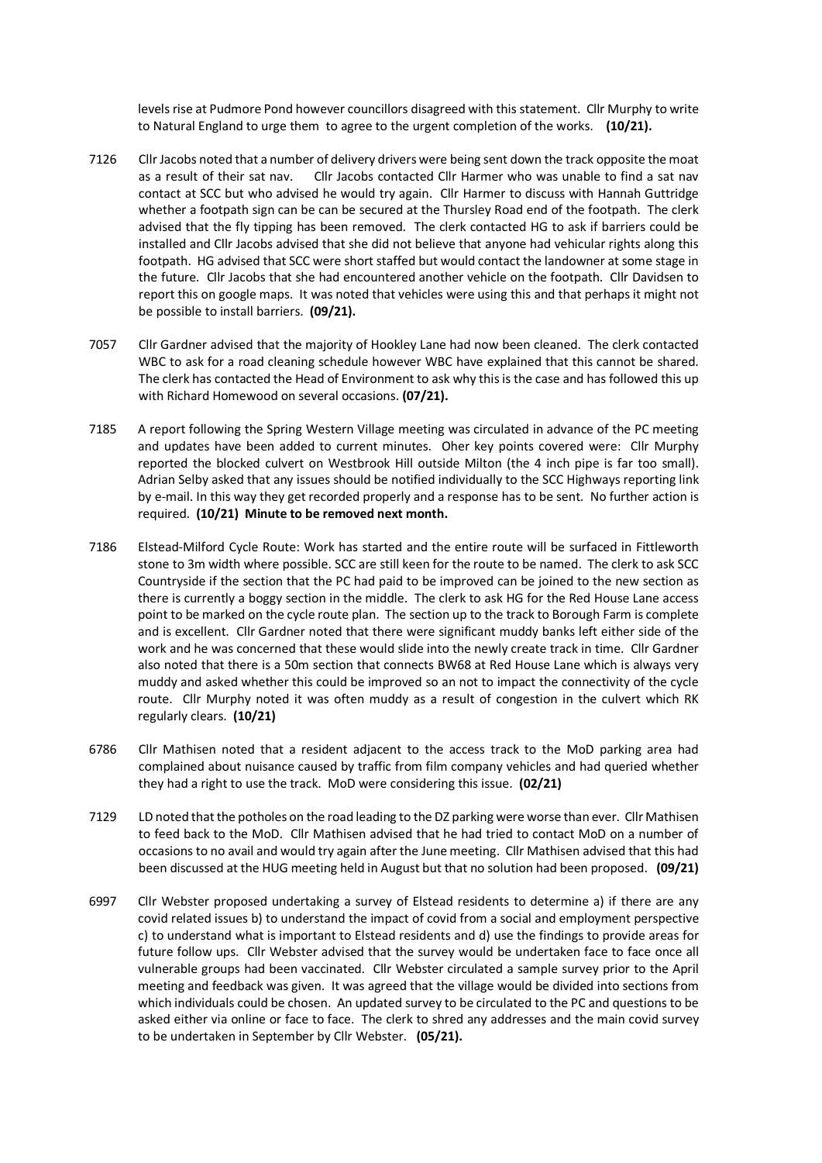levels rise at Pudmore Pond however councillors disagreed with this statement. Cllr Murphy to write to Natural England to urge them to agree to the urgent completion of the works. **(10/21).**

- 7126 Cllr Jacobs noted that a number of delivery drivers were being sent down the track opposite the moat as a result of their sat nav. Cllr Jacobs contacted Cllr Harmer who was unable to find a sat nav contact at SCC but who advised he would try again. Cllr Harmer to discuss with Hannah Guttridge whether a footpath sign can be can be secured at the Thursley Road end of the footpath. The clerk advised that the fly tipping has been removed. The clerk contacted HG to ask if barriers could be installed and Cllr Jacobs advised that she did not believe that anyone had vehicular rights along this footpath. HG advised that SCC were short staffed but would contact the landowner at some stage in the future. Cllr Jacobs that she had encountered another vehicle on the footpath. Cllr Davidsen to report this on google maps. It was noted that vehicles were using this and that perhaps it might not be possible to install barriers. **(09/21).**
- 7057 Cllr Gardner advised that the majority of Hookley Lane had now been cleaned. The clerk contacted WBC to ask for a road cleaning schedule however WBC have explained that this cannot be shared. The clerk has contacted the Head of Environment to ask why this is the case and has followed this up with Richard Homewood on several occasions. **(07/21).**
- 7185 A report following the Spring Western Village meeting was circulated in advance of the PC meeting and updates have been added to current minutes. Oher key points covered were: Cllr Murphy reported the blocked culvert on Westbrook Hill outside Milton (the 4 inch pipe is far too small). Adrian Selby asked that any issues should be notified individually to the SCC Highways reporting link by e-mail. In this way they get recorded properly and a response has to be sent. No further action is required. **(10/21) Minute to be removed next month.**
- 7186 Elstead-Milford Cycle Route: Work has started and the entire route will be surfaced in Fittleworth stone to 3m width where possible. SCC are still keen for the route to be named. The clerk to ask SCC Countryside if the section that the PC had paid to be improved can be joined to the new section as there is currently a boggy section in the middle. The clerk to ask HG for the Red House Lane access point to be marked on the cycle route plan. The section up to the track to Borough Farm is complete and is excellent. Cllr Gardner noted that there were significant muddy banks left either side of the work and he was concerned that these would slide into the newly create track in time. Cllr Gardner also noted that there is a 50m section that connects BW68 at Red House Lane which is always very muddy and asked whether this could be improved so an not to impact the connectivity of the cycle route. Cllr Murphy noted it was often muddy as a result of congestion in the culvert which RK regularly clears. **(10/21)**
- 6786 Cllr Mathisen noted that a resident adjacent to the access track to the MoD parking area had complained about nuisance caused by traffic from film company vehicles and had queried whether they had a right to use the track. MoD were considering this issue. **(02/21)**
- 7129 LD noted that the potholes on the road leading to the DZ parking were worse than ever. Cllr Mathisen to feed back to the MoD. Cllr Mathisen advised that he had tried to contact MoD on a number of occasions to no avail and would try again after the June meeting. Cllr Mathisen advised that this had been discussed at the HUG meeting held in August but that no solution had been proposed. **(09/21)**
- 6997 Cllr Webster proposed undertaking a survey of Elstead residents to determine a) if there are any covid related issues b) to understand the impact of covid from a social and employment perspective c) to understand what is important to Elstead residents and d) use the findings to provide areas for future follow ups. Cllr Webster advised that the survey would be undertaken face to face once all vulnerable groups had been vaccinated. Cllr Webster circulated a sample survey prior to the April meeting and feedback was given. It was agreed that the village would be divided into sections from which individuals could be chosen. An updated survey to be circulated to the PC and questions to be asked either via online or face to face. The clerk to shred any addresses and the main covid survey to be undertaken in September by Cllr Webster. **(05/21).**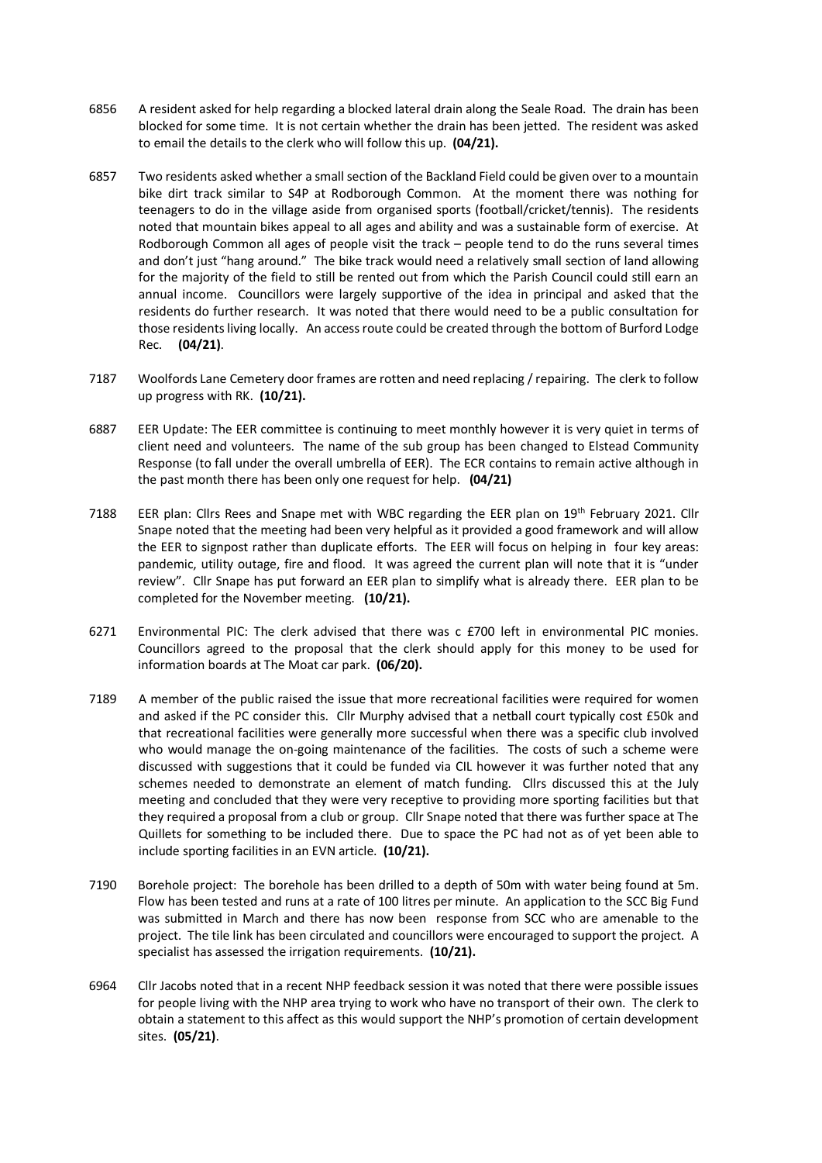- 6856 A resident asked for help regarding a blocked lateral drain along the Seale Road. The drain has been blocked for some time. It is not certain whether the drain has been jetted. The resident was asked to email the details to the clerk who will follow this up. **(04/21).**
- 6857 Two residents asked whether a small section of the Backland Field could be given over to a mountain bike dirt track similar to S4P at Rodborough Common. At the moment there was nothing for teenagers to do in the village aside from organised sports (football/cricket/tennis). The residents noted that mountain bikes appeal to all ages and ability and was a sustainable form of exercise. At Rodborough Common all ages of people visit the track – people tend to do the runs several times and don't just "hang around." The bike track would need a relatively small section of land allowing for the majority of the field to still be rented out from which the Parish Council could still earn an annual income. Councillors were largely supportive of the idea in principal and asked that the residents do further research. It was noted that there would need to be a public consultation for those residents living locally. An access route could be created through the bottom of Burford Lodge Rec. **(04/21)**.
- 7187 Woolfords Lane Cemetery door frames are rotten and need replacing / repairing. The clerk to follow up progress with RK. **(10/21).**
- 6887 EER Update: The EER committee is continuing to meet monthly however it is very quiet in terms of client need and volunteers. The name of the sub group has been changed to Elstead Community Response (to fall under the overall umbrella of EER). The ECR contains to remain active although in the past month there has been only one request for help. **(04/21)**
- 7188 EER plan: Cllrs Rees and Snape met with WBC regarding the EER plan on 19<sup>th</sup> February 2021. Cllr Snape noted that the meeting had been very helpful as it provided a good framework and will allow the EER to signpost rather than duplicate efforts. The EER will focus on helping in four key areas: pandemic, utility outage, fire and flood. It was agreed the current plan will note that it is "under review". Cllr Snape has put forward an EER plan to simplify what is already there. EER plan to be completed for the November meeting. **(10/21).**
- 6271 Environmental PIC: The clerk advised that there was c £700 left in environmental PIC monies. Councillors agreed to the proposal that the clerk should apply for this money to be used for information boards at The Moat car park. **(06/20).**
- 7189 A member of the public raised the issue that more recreational facilities were required for women and asked if the PC consider this. Cllr Murphy advised that a netball court typically cost £50k and that recreational facilities were generally more successful when there was a specific club involved who would manage the on-going maintenance of the facilities. The costs of such a scheme were discussed with suggestions that it could be funded via CIL however it was further noted that any schemes needed to demonstrate an element of match funding. Cllrs discussed this at the July meeting and concluded that they were very receptive to providing more sporting facilities but that they required a proposal from a club or group. Cllr Snape noted that there was further space at The Quillets for something to be included there. Due to space the PC had not as of yet been able to include sporting facilities in an EVN article. **(10/21).**
- 7190 Borehole project: The borehole has been drilled to a depth of 50m with water being found at 5m. Flow has been tested and runs at a rate of 100 litres per minute. An application to the SCC Big Fund was submitted in March and there has now been response from SCC who are amenable to the project. The tile link has been circulated and councillors were encouraged to support the project. A specialist has assessed the irrigation requirements. **(10/21).**
- 6964 Cllr Jacobs noted that in a recent NHP feedback session it was noted that there were possible issues for people living with the NHP area trying to work who have no transport of their own. The clerk to obtain a statement to this affect as this would support the NHP's promotion of certain development sites. **(05/21)**.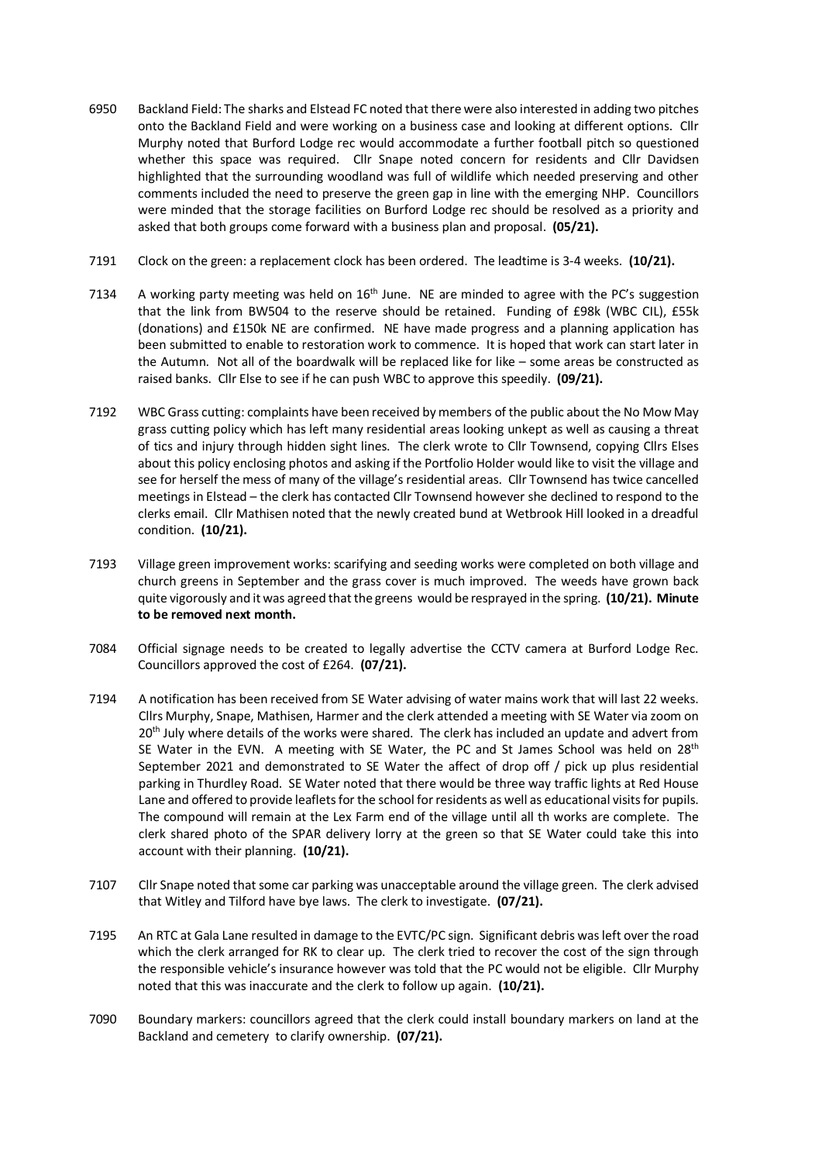- 6950 Backland Field: The sharks and Elstead FC noted that there were also interested in adding two pitches onto the Backland Field and were working on a business case and looking at different options. Cllr Murphy noted that Burford Lodge rec would accommodate a further football pitch so questioned whether this space was required. Cllr Snape noted concern for residents and Cllr Davidsen highlighted that the surrounding woodland was full of wildlife which needed preserving and other comments included the need to preserve the green gap in line with the emerging NHP. Councillors were minded that the storage facilities on Burford Lodge rec should be resolved as a priority and asked that both groups come forward with a business plan and proposal. **(05/21).**
- 7191 Clock on the green: a replacement clock has been ordered. The leadtime is 3-4 weeks. **(10/21).**
- 7134 A working party meeting was held on  $16<sup>th</sup>$  June. NE are minded to agree with the PC's suggestion that the link from BW504 to the reserve should be retained. Funding of £98k (WBC CIL), £55k (donations) and £150k NE are confirmed. NE have made progress and a planning application has been submitted to enable to restoration work to commence. It is hoped that work can start later in the Autumn. Not all of the boardwalk will be replaced like for like – some areas be constructed as raised banks. Cllr Else to see if he can push WBC to approve this speedily. **(09/21).**
- 7192 WBC Grass cutting: complaints have been received by members of the public about the No Mow May grass cutting policy which has left many residential areas looking unkept as well as causing a threat of tics and injury through hidden sight lines. The clerk wrote to Cllr Townsend, copying Cllrs Elses about this policy enclosing photos and asking if the Portfolio Holder would like to visit the village and see for herself the mess of many of the village's residential areas. Cllr Townsend has twice cancelled meetings in Elstead – the clerk has contacted Cllr Townsend however she declined to respond to the clerks email. Cllr Mathisen noted that the newly created bund at Wetbrook Hill looked in a dreadful condition. **(10/21).**
- 7193 Village green improvement works: scarifying and seeding works were completed on both village and church greens in September and the grass cover is much improved. The weeds have grown back quite vigorously and it was agreed that the greens would be resprayed in the spring. **(10/21). Minute to be removed next month.**
- 7084 Official signage needs to be created to legally advertise the CCTV camera at Burford Lodge Rec. Councillors approved the cost of £264. **(07/21).**
- 7194 A notification has been received from SE Water advising of water mains work that will last 22 weeks. Cllrs Murphy, Snape, Mathisen, Harmer and the clerk attended a meeting with SE Water via zoom on 20<sup>th</sup> July where details of the works were shared. The clerk has included an update and advert from SE Water in the EVN. A meeting with SE Water, the PC and St James School was held on 28<sup>th</sup> September 2021 and demonstrated to SE Water the affect of drop off / pick up plus residential parking in Thurdley Road. SE Water noted that there would be three way traffic lights at Red House Lane and offered to provide leaflets for the school for residents as well as educational visits for pupils. The compound will remain at the Lex Farm end of the village until all th works are complete. The clerk shared photo of the SPAR delivery lorry at the green so that SE Water could take this into account with their planning. **(10/21).**
- 7107 Cllr Snape noted that some car parking was unacceptable around the village green. The clerk advised that Witley and Tilford have bye laws. The clerk to investigate. **(07/21).**
- 7195 An RTC at Gala Lane resulted in damage to the EVTC/PC sign. Significant debris was left over the road which the clerk arranged for RK to clear up. The clerk tried to recover the cost of the sign through the responsible vehicle's insurance however was told that the PC would not be eligible. Cllr Murphy noted that this was inaccurate and the clerk to follow up again. **(10/21).**
- 7090 Boundary markers: councillors agreed that the clerk could install boundary markers on land at the Backland and cemetery to clarify ownership. **(07/21).**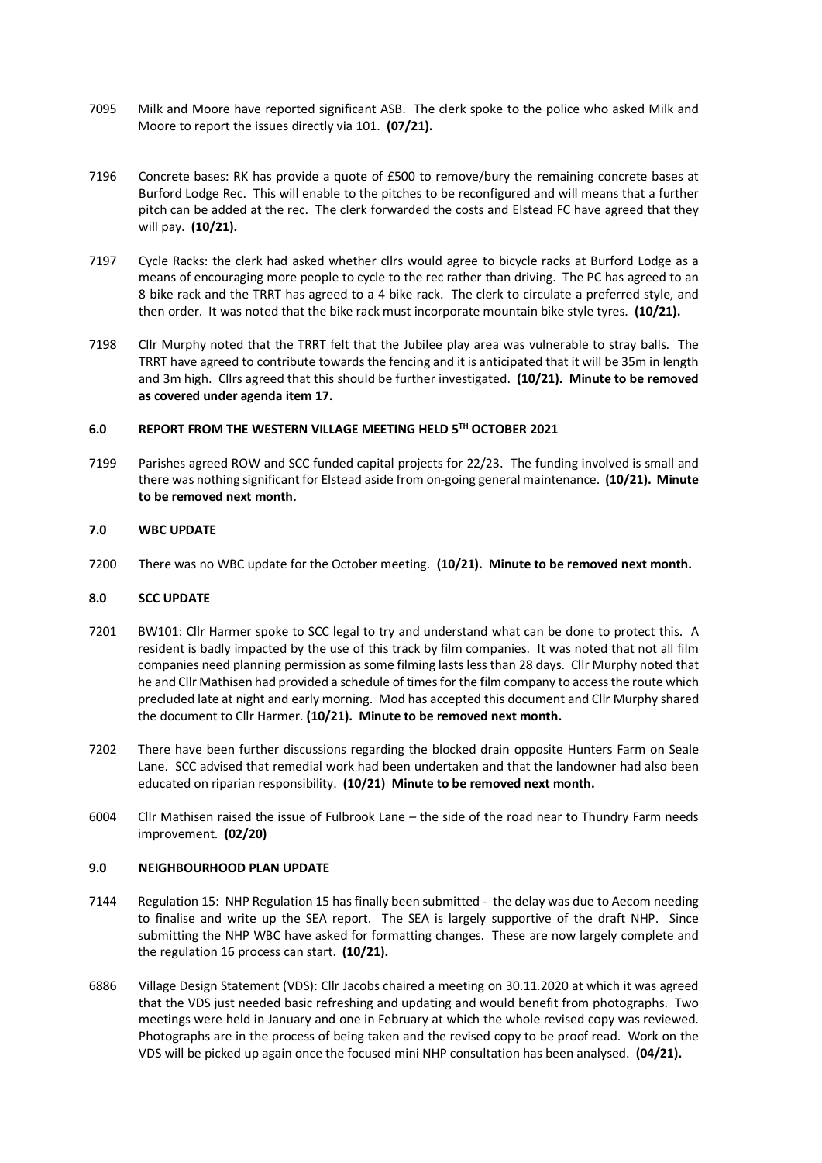- 7095 Milk and Moore have reported significant ASB. The clerk spoke to the police who asked Milk and Moore to report the issues directly via 101. **(07/21).**
- 7196 Concrete bases: RK has provide a quote of £500 to remove/bury the remaining concrete bases at Burford Lodge Rec. This will enable to the pitches to be reconfigured and will means that a further pitch can be added at the rec. The clerk forwarded the costs and Elstead FC have agreed that they will pay. **(10/21).**
- 7197 Cycle Racks: the clerk had asked whether cllrs would agree to bicycle racks at Burford Lodge as a means of encouraging more people to cycle to the rec rather than driving. The PC has agreed to an 8 bike rack and the TRRT has agreed to a 4 bike rack. The clerk to circulate a preferred style, and then order. It was noted that the bike rack must incorporate mountain bike style tyres. **(10/21).**
- 7198 Cllr Murphy noted that the TRRT felt that the Jubilee play area was vulnerable to stray balls. The TRRT have agreed to contribute towards the fencing and it is anticipated that it will be 35m in length and 3m high. Cllrs agreed that this should be further investigated. **(10/21). Minute to be removed as covered under agenda item 17.**

## **6.0 REPORT FROM THE WESTERN VILLAGE MEETING HELD 5TH OCTOBER 2021**

7199 Parishes agreed ROW and SCC funded capital projects for 22/23. The funding involved is small and there was nothing significant for Elstead aside from on-going general maintenance. **(10/21). Minute to be removed next month.**

## **7.0 WBC UPDATE**

7200 There was no WBC update for the October meeting. **(10/21). Minute to be removed next month.**

#### **8.0 SCC UPDATE**

- 7201 BW101: Cllr Harmer spoke to SCC legal to try and understand what can be done to protect this. A resident is badly impacted by the use of this track by film companies. It was noted that not all film companies need planning permission as some filming lasts less than 28 days. Cllr Murphy noted that he and Cllr Mathisen had provided a schedule of times for the film company to access the route which precluded late at night and early morning. Mod has accepted this document and Cllr Murphy shared the document to Cllr Harmer. **(10/21). Minute to be removed next month.**
- 7202 There have been further discussions regarding the blocked drain opposite Hunters Farm on Seale Lane. SCC advised that remedial work had been undertaken and that the landowner had also been educated on riparian responsibility. **(10/21) Minute to be removed next month.**
- 6004 Cllr Mathisen raised the issue of Fulbrook Lane the side of the road near to Thundry Farm needs improvement. **(02/20)**

## **9.0 NEIGHBOURHOOD PLAN UPDATE**

- 7144 Regulation 15: NHP Regulation 15 has finally been submitted the delay was due to Aecom needing to finalise and write up the SEA report. The SEA is largely supportive of the draft NHP. Since submitting the NHP WBC have asked for formatting changes. These are now largely complete and the regulation 16 process can start. **(10/21).**
- 6886 Village Design Statement (VDS): Cllr Jacobs chaired a meeting on 30.11.2020 at which it was agreed that the VDS just needed basic refreshing and updating and would benefit from photographs. Two meetings were held in January and one in February at which the whole revised copy was reviewed. Photographs are in the process of being taken and the revised copy to be proof read. Work on the VDS will be picked up again once the focused mini NHP consultation has been analysed. **(04/21).**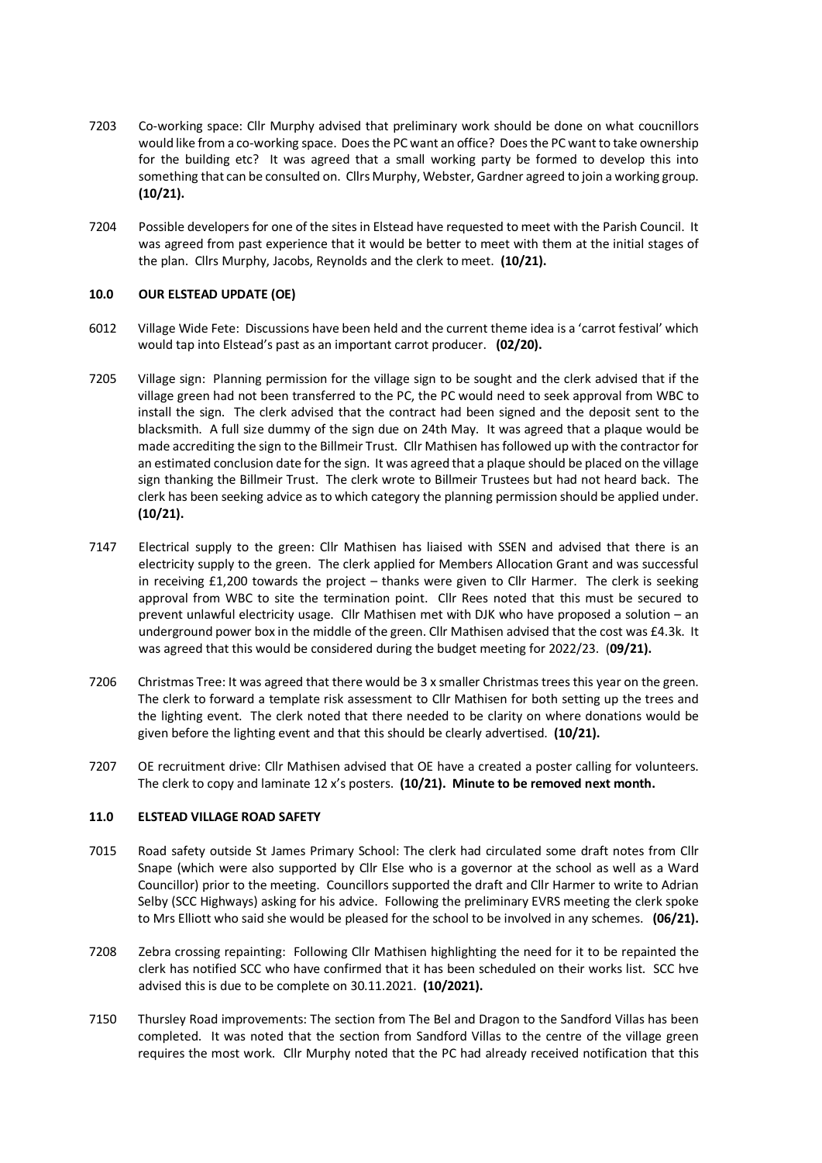- 7203 Co-working space: Cllr Murphy advised that preliminary work should be done on what coucnillors would like from a co-working space. Does the PC want an office? Does the PC want to take ownership for the building etc? It was agreed that a small working party be formed to develop this into something that can be consulted on. Cllrs Murphy, Webster, Gardner agreed to join a working group. **(10/21).**
- 7204 Possible developers for one of the sites in Elstead have requested to meet with the Parish Council. It was agreed from past experience that it would be better to meet with them at the initial stages of the plan. Cllrs Murphy, Jacobs, Reynolds and the clerk to meet. **(10/21).**

## **10.0 OUR ELSTEAD UPDATE (OE)**

- 6012 Village Wide Fete: Discussions have been held and the current theme idea is a 'carrot festival' which would tap into Elstead's past as an important carrot producer. **(02/20).**
- 7205 Village sign: Planning permission for the village sign to be sought and the clerk advised that if the village green had not been transferred to the PC, the PC would need to seek approval from WBC to install the sign. The clerk advised that the contract had been signed and the deposit sent to the blacksmith. A full size dummy of the sign due on 24th May. It was agreed that a plaque would be made accrediting the sign to the Billmeir Trust. Cllr Mathisen has followed up with the contractor for an estimated conclusion date for the sign. It was agreed that a plaque should be placed on the village sign thanking the Billmeir Trust. The clerk wrote to Billmeir Trustees but had not heard back. The clerk has been seeking advice as to which category the planning permission should be applied under. **(10/21).**
- 7147 Electrical supply to the green: Cllr Mathisen has liaised with SSEN and advised that there is an electricity supply to the green. The clerk applied for Members Allocation Grant and was successful in receiving £1,200 towards the project – thanks were given to Cllr Harmer. The clerk is seeking approval from WBC to site the termination point. Cllr Rees noted that this must be secured to prevent unlawful electricity usage. Cllr Mathisen met with DJK who have proposed a solution – an underground power box in the middle of the green. Cllr Mathisen advised that the cost was £4.3k. It was agreed that this would be considered during the budget meeting for 2022/23. (**09/21).**
- 7206 Christmas Tree: It was agreed that there would be 3 x smaller Christmas trees this year on the green. The clerk to forward a template risk assessment to Cllr Mathisen for both setting up the trees and the lighting event. The clerk noted that there needed to be clarity on where donations would be given before the lighting event and that this should be clearly advertised. **(10/21).**
- 7207 OE recruitment drive: Cllr Mathisen advised that OE have a created a poster calling for volunteers. The clerk to copy and laminate 12 x's posters. **(10/21). Minute to be removed next month.**

#### **11.0 ELSTEAD VILLAGE ROAD SAFETY**

- 7015 Road safety outside St James Primary School: The clerk had circulated some draft notes from Cllr Snape (which were also supported by Cllr Else who is a governor at the school as well as a Ward Councillor) prior to the meeting. Councillors supported the draft and Cllr Harmer to write to Adrian Selby (SCC Highways) asking for his advice. Following the preliminary EVRS meeting the clerk spoke to Mrs Elliott who said she would be pleased for the school to be involved in any schemes. **(06/21).**
- 7208 Zebra crossing repainting: Following Cllr Mathisen highlighting the need for it to be repainted the clerk has notified SCC who have confirmed that it has been scheduled on their works list. SCC hve advised this is due to be complete on 30.11.2021. **(10/2021).**
- 7150 Thursley Road improvements: The section from The Bel and Dragon to the Sandford Villas has been completed. It was noted that the section from Sandford Villas to the centre of the village green requires the most work. Cllr Murphy noted that the PC had already received notification that this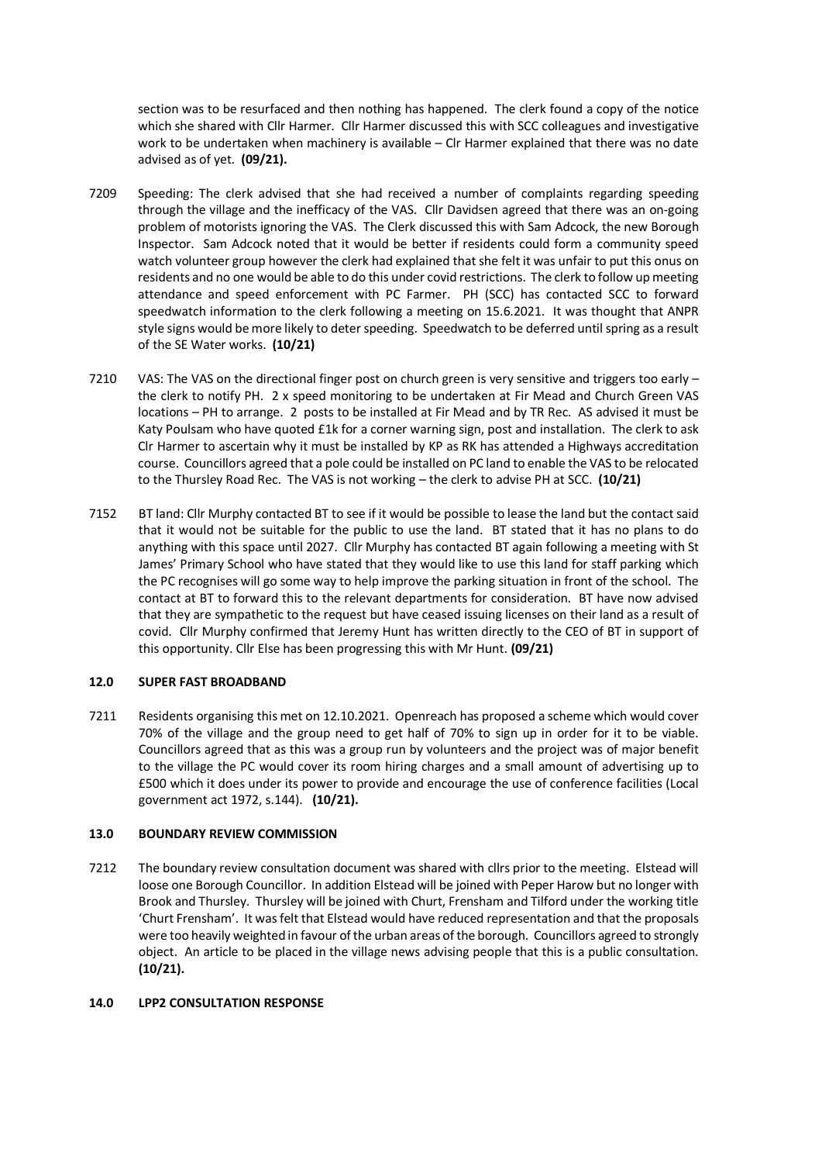section was to be resurfaced and then nothing has happened. The clerk found a copy of the notice which she shared with Cllr Harmer. Cllr Harmer discussed this with SCC colleagues and investigative work to be undertaken when machinery is available – Clr Harmer explained that there was no date advised as of yet. **(09/21).** 

- 7209 Speeding: The clerk advised that she had received a number of complaints regarding speeding through the village and the inefficacy of the VAS. Cllr Davidsen agreed that there was an on-going problem of motorists ignoring the VAS. The Clerk discussed this with Sam Adcock, the new Borough Inspector. Sam Adcock noted that it would be better if residents could form a community speed watch volunteer group however the clerk had explained that she felt it was unfair to put this onus on residents and no one would be able to do this under covid restrictions. The clerk to follow up meeting attendance and speed enforcement with PC Farmer. PH (SCC) has contacted SCC to forward speedwatch information to the clerk following a meeting on 15.6.2021. It was thought that ANPR style signs would be more likely to deter speeding. Speedwatch to be deferred until spring as a result of the SE Water works. **(10/21)**
- 7210 VAS: The VAS on the directional finger post on church green is very sensitive and triggers too early the clerk to notify PH. 2 x speed monitoring to be undertaken at Fir Mead and Church Green VAS locations – PH to arrange. 2 posts to be installed at Fir Mead and by TR Rec. AS advised it must be Katy Poulsam who have quoted £1k for a corner warning sign, post and installation. The clerk to ask Clr Harmer to ascertain why it must be installed by KP as RK has attended a Highways accreditation course. Councillors agreed that a pole could be installed on PC land to enable the VAS to be relocated to the Thursley Road Rec. The VAS is not working – the clerk to advise PH at SCC. **(10/21)**
- 7152 BT land: Cllr Murphy contacted BT to see if it would be possible to lease the land but the contact said that it would not be suitable for the public to use the land. BT stated that it has no plans to do anything with this space until 2027. Cllr Murphy has contacted BT again following a meeting with St James' Primary School who have stated that they would like to use this land for staff parking which the PC recognises will go some way to help improve the parking situation in front of the school. The contact at BT to forward this to the relevant departments for consideration. BT have now advised that they are sympathetic to the request but have ceased issuing licenses on their land as a result of covid. Cllr Murphy confirmed that Jeremy Hunt has written directly to the CEO of BT in support of this opportunity. Cllr Else has been progressing this with Mr Hunt. **(09/21)**

# **12.0 SUPER FAST BROADBAND**

7211 Residents organising this met on 12.10.2021. Openreach has proposed a scheme which would cover 70% of the village and the group need to get half of 70% to sign up in order for it to be viable. Councillors agreed that as this was a group run by volunteers and the project was of major benefit to the village the PC would cover its room hiring charges and a small amount of advertising up to £500 which it does under its power to provide and encourage the use of conference facilities (Local government act 1972, s.144). **(10/21).** 

#### **13.0 BOUNDARY REVIEW COMMISSION**

7212 The boundary review consultation document was shared with cllrs prior to the meeting. Elstead will loose one Borough Councillor. In addition Elstead will be joined with Peper Harow but no longer with Brook and Thursley. Thursley will be joined with Churt, Frensham and Tilford under the working title 'Churt Frensham'. It was felt that Elstead would have reduced representation and that the proposals were too heavily weighted in favour of the urban areas of the borough. Councillors agreed to strongly object. An article to be placed in the village news advising people that this is a public consultation. **(10/21).**

#### **14.0 LPP2 CONSULTATION RESPONSE**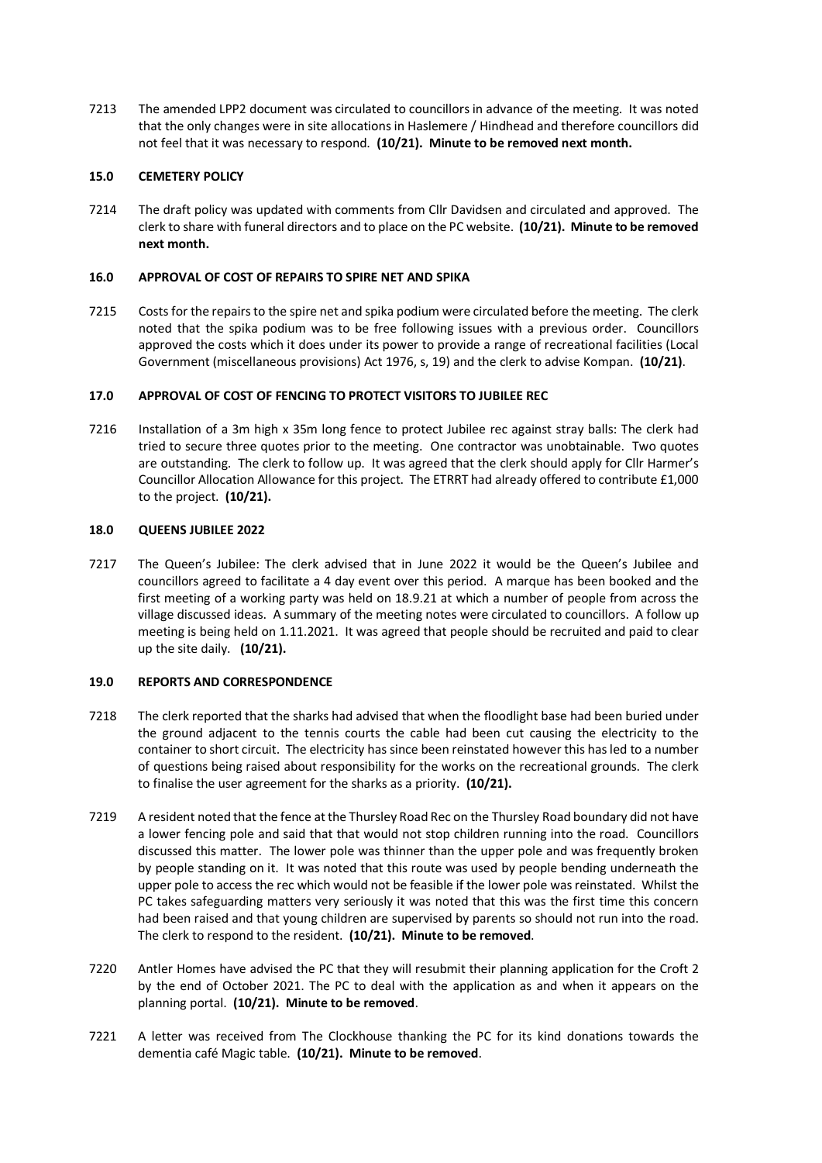7213 The amended LPP2 document was circulated to councillors in advance of the meeting. It was noted that the only changes were in site allocations in Haslemere / Hindhead and therefore councillors did not feel that it was necessary to respond. **(10/21). Minute to be removed next month.**

## **15.0 CEMETERY POLICY**

7214 The draft policy was updated with comments from Cllr Davidsen and circulated and approved. The clerk to share with funeral directors and to place on the PC website. **(10/21). Minute to be removed next month.**

## **16.0 APPROVAL OF COST OF REPAIRS TO SPIRE NET AND SPIKA**

7215 Costs for the repairs to the spire net and spika podium were circulated before the meeting. The clerk noted that the spika podium was to be free following issues with a previous order. Councillors approved the costs which it does under its power to provide a range of recreational facilities (Local Government (miscellaneous provisions) Act 1976, s, 19) and the clerk to advise Kompan. **(10/21)**.

## **17.0 APPROVAL OF COST OF FENCING TO PROTECT VISITORS TO JUBILEE REC**

7216 Installation of a 3m high x 35m long fence to protect Jubilee rec against stray balls: The clerk had tried to secure three quotes prior to the meeting. One contractor was unobtainable. Two quotes are outstanding. The clerk to follow up. It was agreed that the clerk should apply for Cllr Harmer's Councillor Allocation Allowance for this project. The ETRRT had already offered to contribute £1,000 to the project. **(10/21).**

#### **18.0 QUEENS JUBILEE 2022**

7217 The Queen's Jubilee: The clerk advised that in June 2022 it would be the Queen's Jubilee and councillors agreed to facilitate a 4 day event over this period. A marque has been booked and the first meeting of a working party was held on 18.9.21 at which a number of people from across the village discussed ideas. A summary of the meeting notes were circulated to councillors. A follow up meeting is being held on 1.11.2021. It was agreed that people should be recruited and paid to clear up the site daily. **(10/21).** 

#### **19.0 REPORTS AND CORRESPONDENCE**

- 7218 The clerk reported that the sharks had advised that when the floodlight base had been buried under the ground adjacent to the tennis courts the cable had been cut causing the electricity to the container to short circuit. The electricity has since been reinstated however this has led to a number of questions being raised about responsibility for the works on the recreational grounds. The clerk to finalise the user agreement for the sharks as a priority. **(10/21).**
- 7219 A resident noted that the fence at the Thursley Road Rec on the Thursley Road boundary did not have a lower fencing pole and said that that would not stop children running into the road. Councillors discussed this matter. The lower pole was thinner than the upper pole and was frequently broken by people standing on it. It was noted that this route was used by people bending underneath the upper pole to access the rec which would not be feasible if the lower pole was reinstated. Whilst the PC takes safeguarding matters very seriously it was noted that this was the first time this concern had been raised and that young children are supervised by parents so should not run into the road. The clerk to respond to the resident. **(10/21). Minute to be removed**.
- 7220 Antler Homes have advised the PC that they will resubmit their planning application for the Croft 2 by the end of October 2021. The PC to deal with the application as and when it appears on the planning portal. **(10/21). Minute to be removed**.
- 7221 A letter was received from The Clockhouse thanking the PC for its kind donations towards the dementia café Magic table. **(10/21). Minute to be removed**.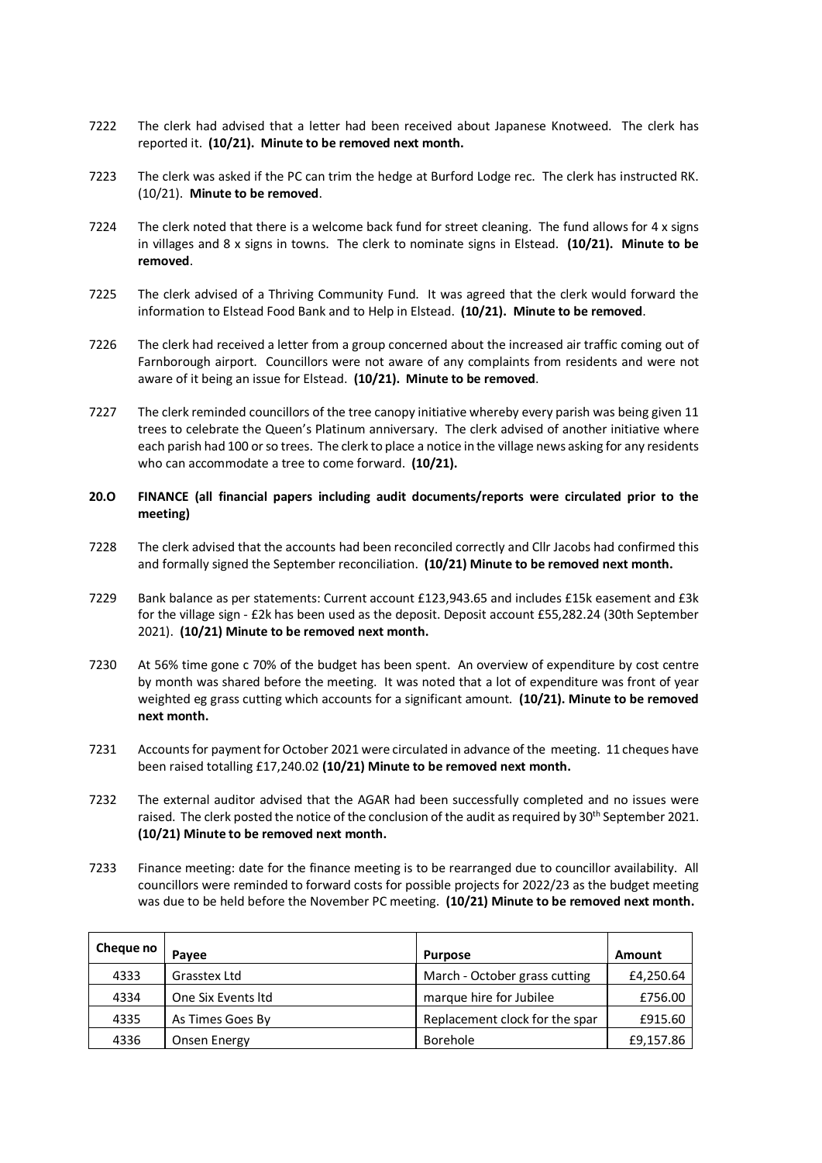- 7222 The clerk had advised that a letter had been received about Japanese Knotweed. The clerk has reported it. **(10/21). Minute to be removed next month.**
- 7223 The clerk was asked if the PC can trim the hedge at Burford Lodge rec. The clerk has instructed RK. (10/21). **Minute to be removed**.
- 7224 The clerk noted that there is a welcome back fund for street cleaning. The fund allows for 4 x signs in villages and 8 x signs in towns. The clerk to nominate signs in Elstead. **(10/21). Minute to be removed**.
- 7225 The clerk advised of a Thriving Community Fund. It was agreed that the clerk would forward the information to Elstead Food Bank and to Help in Elstead. **(10/21). Minute to be removed**.
- 7226 The clerk had received a letter from a group concerned about the increased air traffic coming out of Farnborough airport. Councillors were not aware of any complaints from residents and were not aware of it being an issue for Elstead. **(10/21). Minute to be removed**.
- 7227 The clerk reminded councillors of the tree canopy initiative whereby every parish was being given 11 trees to celebrate the Queen's Platinum anniversary. The clerk advised of another initiative where each parish had 100 or so trees. The clerk to place a notice in the village news asking for any residents who can accommodate a tree to come forward. **(10/21).**

# **20.O FINANCE (all financial papers including audit documents/reports were circulated prior to the meeting)**

- 7228 The clerk advised that the accounts had been reconciled correctly and Cllr Jacobs had confirmed this and formally signed the September reconciliation. **(10/21) Minute to be removed next month.**
- 7229 Bank balance as per statements: Current account £123,943.65 and includes £15k easement and £3k for the village sign - £2k has been used as the deposit. Deposit account £55,282.24 (30th September 2021). **(10/21) Minute to be removed next month.**
- 7230 At 56% time gone c 70% of the budget has been spent. An overview of expenditure by cost centre by month was shared before the meeting. It was noted that a lot of expenditure was front of year weighted eg grass cutting which accounts for a significant amount. **(10/21). Minute to be removed next month.**
- 7231 Accounts for payment for October 2021 were circulated in advance of the meeting. 11 cheques have been raised totalling £17,240.02 **(10/21) Minute to be removed next month.**
- 7232 The external auditor advised that the AGAR had been successfully completed and no issues were raised. The clerk posted the notice of the conclusion of the audit as required by 30th September 2021. **(10/21) Minute to be removed next month.**
- 7233 Finance meeting: date for the finance meeting is to be rearranged due to councillor availability. All councillors were reminded to forward costs for possible projects for 2022/23 as the budget meeting was due to be held before the November PC meeting. **(10/21) Minute to be removed next month.**

| Cheque no | Pavee              | <b>Purpose</b>                 | <b>Amount</b> |
|-----------|--------------------|--------------------------------|---------------|
| 4333      | Grasstex Ltd       | March - October grass cutting  | £4,250.64     |
| 4334      | One Six Events Itd | marque hire for Jubilee        | £756.00       |
| 4335      | As Times Goes By   | Replacement clock for the spar | £915.60       |
| 4336      | Onsen Energy       | Borehole                       | £9,157.86     |